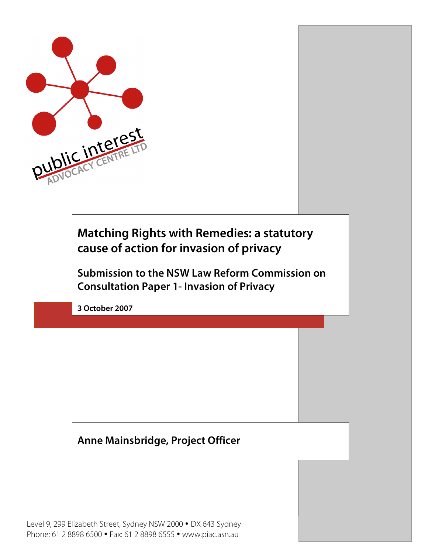

**Matching Rights with Remedies: a statutory cause of action for invasion of privacy**

**Submission to the NSW Law Reform Commission on Consultation Paper 1- Invasion of Privacy** 

**3 October 2007**

# **Anne Mainsbridge, Project Officer**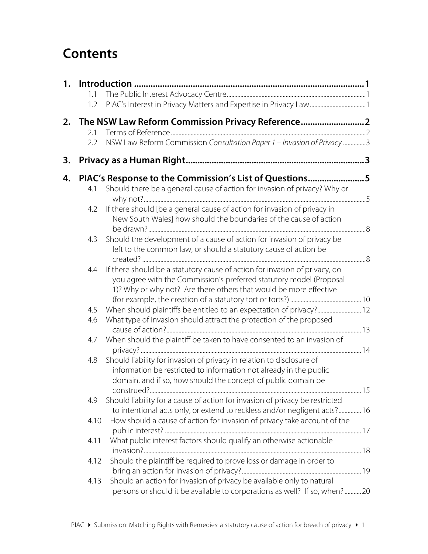# **Contents**

| 1. |            |                                                                                                                                                                                                                        |    |
|----|------------|------------------------------------------------------------------------------------------------------------------------------------------------------------------------------------------------------------------------|----|
|    | 1.1<br>1.2 |                                                                                                                                                                                                                        |    |
|    |            |                                                                                                                                                                                                                        |    |
|    |            | 2. The NSW Law Reform Commission Privacy Reference 2                                                                                                                                                                   |    |
|    | 2.1        |                                                                                                                                                                                                                        |    |
|    | 2.2        | NSW Law Reform Commission Consultation Paper 1 - Invasion of Privacy 3                                                                                                                                                 |    |
| 3. |            |                                                                                                                                                                                                                        |    |
| 4. |            | PIAC's Response to the Commission's List of Questions5                                                                                                                                                                 |    |
|    | 4.1        | Should there be a general cause of action for invasion of privacy? Why or                                                                                                                                              |    |
|    | 4.2        | If there should [be a general cause of action for invasion of privacy in                                                                                                                                               |    |
|    |            | New South Wales] how should the boundaries of the cause of action                                                                                                                                                      |    |
|    |            | Should the development of a cause of action for invasion of privacy be                                                                                                                                                 |    |
|    | 4.3        | left to the common law, or should a statutory cause of action be                                                                                                                                                       |    |
|    | 4.4        | If there should be a statutory cause of action for invasion of privacy, do<br>you agree with the Commission's preferred statutory model (Proposal<br>1)? Why or why not? Are there others that would be more effective |    |
|    | 4.5        | When should plaintiffs be entitled to an expectation of privacy? 12                                                                                                                                                    |    |
|    | 4.6        | What type of invasion should attract the protection of the proposed                                                                                                                                                    |    |
|    | 4.7        | When should the plaintiff be taken to have consented to an invasion of                                                                                                                                                 |    |
|    |            |                                                                                                                                                                                                                        |    |
|    | 4.8        | Should liability for invasion of privacy in relation to disclosure of<br>information be restricted to information not already in the public                                                                            |    |
|    |            | domain, and if so, how should the concept of public domain be                                                                                                                                                          | 15 |
|    | 4.9        | Should liability for a cause of action for invasion of privacy be restricted                                                                                                                                           |    |
|    |            | to intentional acts only, or extend to reckless and/or negligent acts? 16                                                                                                                                              |    |
|    | 4.10       | How should a cause of action for invasion of privacy take account of the                                                                                                                                               |    |
|    | 4.11       | What public interest factors should qualify an otherwise actionable                                                                                                                                                    |    |
|    | 4.12       | Should the plaintiff be required to prove loss or damage in order to                                                                                                                                                   |    |
|    | 4.13       | Should an action for invasion of privacy be available only to natural<br>persons or should it be available to corporations as well? If so, when?20                                                                     |    |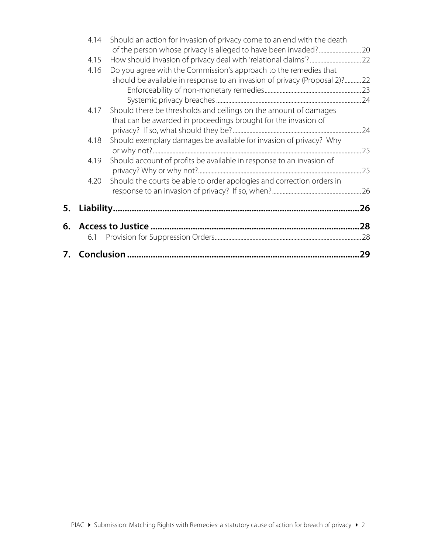|    | 4.14 | Should an action for invasion of privacy come to an end with the death     |     |
|----|------|----------------------------------------------------------------------------|-----|
|    |      |                                                                            |     |
|    | 4.15 |                                                                            |     |
|    | 4.16 | Do you agree with the Commission's approach to the remedies that           |     |
|    |      | should be available in response to an invasion of privacy (Proposal 2)? 22 |     |
|    |      |                                                                            |     |
|    |      |                                                                            |     |
|    | 4.17 | Should there be thresholds and ceilings on the amount of damages           |     |
|    |      | that can be awarded in proceedings brought for the invasion of             |     |
|    |      |                                                                            |     |
|    | 4.18 | Should exemplary damages be available for invasion of privacy? Why         |     |
|    |      |                                                                            |     |
|    | 4.19 | Should account of profits be available in response to an invasion of       |     |
|    |      |                                                                            |     |
|    | 4.20 | Should the courts be able to order apologies and correction orders in      |     |
|    |      |                                                                            |     |
| 5. |      |                                                                            | .26 |
|    |      |                                                                            |     |
| 6. |      |                                                                            | .28 |
|    | 6.1  |                                                                            |     |
|    |      |                                                                            |     |
| 7. |      |                                                                            | 29  |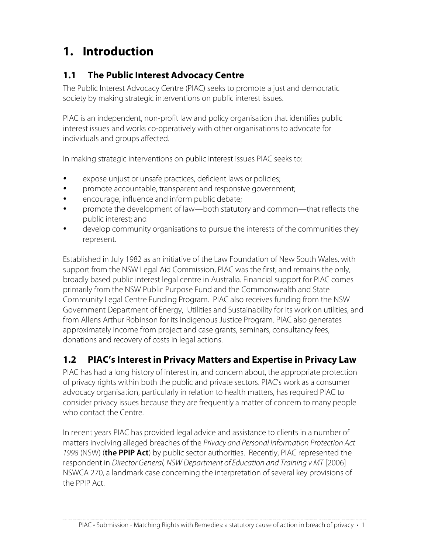# **1. Introduction**

# **1.1 The Public Interest Advocacy Centre**

The Public Interest Advocacy Centre (PIAC) seeks to promote a just and democratic society by making strategic interventions on public interest issues.

PIAC is an independent, non-profit law and policy organisation that identifies public interest issues and works co-operatively with other organisations to advocate for individuals and groups affected.

In making strategic interventions on public interest issues PIAC seeks to:

- expose unjust or unsafe practices, deficient laws or policies;
- promote accountable, transparent and responsive government;
- encourage, influence and inform public debate;
- promote the development of law—both statutory and common—that reflects the public interest; and
- develop community organisations to pursue the interests of the communities they represent.

Established in July 1982 as an initiative of the Law Foundation of New South Wales, with support from the NSW Legal Aid Commission, PIAC was the first, and remains the only, broadly based public interest legal centre in Australia. Financial support for PIAC comes primarily from the NSW Public Purpose Fund and the Commonwealth and State Community Legal Centre Funding Program. PIAC also receives funding from the NSW Government Department of Energy, Utilities and Sustainability for its work on utilities, and from Allens Arthur Robinson for its Indigenous Justice Program. PIAC also generates approximately income from project and case grants, seminars, consultancy fees, donations and recovery of costs in legal actions.

# **1.2 PIAC's Interest in Privacy Matters and Expertise in Privacy Law**

PIAC has had a long history of interest in, and concern about, the appropriate protection of privacy rights within both the public and private sectors. PIAC's work as a consumer advocacy organisation, particularly in relation to health matters, has required PIAC to consider privacy issues because they are frequently a matter of concern to many people who contact the Centre.

In recent years PIAC has provided legal advice and assistance to clients in a number of matters involving alleged breaches of the Privacy and Personal Information Protection Act 1998 (NSW) (**the PPIP Act**) by public sector authorities. Recently, PIAC represented the respondent in Director General, NSW Department of Education and Training v MT [2006] NSWCA 270, a landmark case concerning the interpretation of several key provisions of the PPIP Act.

PIAC • Submission - Matching Rights with Remedies: a statutory cause of action in breach of privacy • 1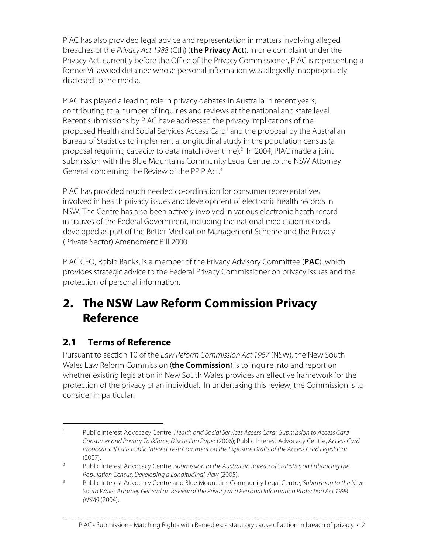PIAC has also provided legal advice and representation in matters involving alleged breaches of the Privacy Act 1988 (Cth) (**the Privacy Act**). In one complaint under the Privacy Act, currently before the Office of the Privacy Commissioner, PIAC is representing a former Villawood detainee whose personal information was allegedly inappropriately disclosed to the media.

PIAC has played a leading role in privacy debates in Australia in recent years, contributing to a number of inquiries and reviews at the national and state level. Recent submissions by PIAC have addressed the privacy implications of the proposed Health and Social Services Access Card<sup>1</sup> and the proposal by the Australian Bureau of Statistics to implement a longitudinal study in the population census (a proposal requiring capacity to data match over time). <sup>2</sup> In 2004, PIAC made a joint submission with the Blue Mountains Community Legal Centre to the NSW Attorney General concerning the Review of the PPIP Act.<sup>3</sup>

PIAC has provided much needed co-ordination for consumer representatives involved in health privacy issues and development of electronic health records in NSW. The Centre has also been actively involved in various electronic heath record initiatives of the Federal Government, including the national medication records developed as part of the Better Medication Management Scheme and the Privacy (Private Sector) Amendment Bill 2000.

PIAC CEO, Robin Banks, is a member of the Privacy Advisory Committee (**PAC**), which provides strategic advice to the Federal Privacy Commissioner on privacy issues and the protection of personal information.

# **2. The NSW Law Reform Commission Privacy Reference**

# **2.1 Terms of Reference**

Pursuant to section 10 of the Law Reform Commission Act 1967 (NSW), the New South Wales Law Reform Commission (**the Commission**) is to inquire into and report on whether existing legislation in New South Wales provides an effective framework for the protection of the privacy of an individual. In undertaking this review, the Commission is to consider in particular:

<sup>&</sup>lt;sup>1</sup> Public Interest Advocacy Centre, Health and Social Services Access Card: Submission to Access Card Consumer and Privacy Taskforce, Discussion Paper (2006); Public Interest Advocacy Centre, Access Card Proposal Still Fails Public Interest Test: Comment on the Exposure Drafts of the Access Card Legislation (2007).

<sup>&</sup>lt;sup>2</sup> Public Interest Advocacy Centre, Submission to the Australian Bureau of Statistics on Enhancing the Population Census: Developing a Longitudinal View (2005).

<sup>&</sup>lt;sup>3</sup> Public Interest Advocacy Centre and Blue Mountains Community Legal Centre, Submission to the New South Wales Attorney General on Reviewof the Privacy and Personal Information Protection Act 1998 (NSW) (2004).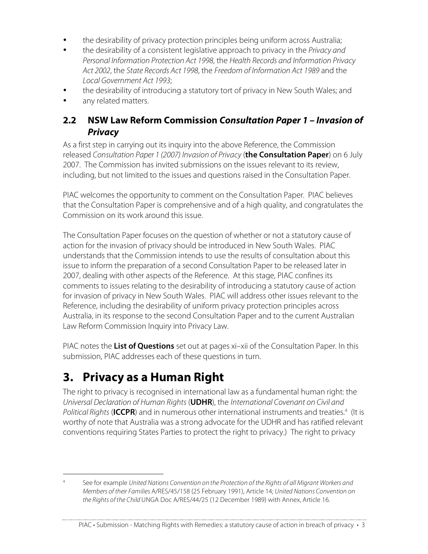- the desirability of privacy protection principles being uniform across Australia;
- the desirability of a consistent legislative approach to privacy in the Privacy and Personal Information Protection Act 1998, the Health Records and Information Privacy Act 2002, the State Records Act 1998, the Freedom of Information Act 1989 and the Local Government Act 1993;
- the desirability of introducing a statutory tort of privacy in New South Wales; and
- any related matters.

## **2.2 NSW Law Reform Commission Consultation Paper 1 – Invasion of Privacy**

As a first step in carrying out its inquiry into the above Reference, the Commission released Consultation Paper 1 (2007) Invasion of Privacy (**the Consultation Paper**) on 6 July 2007. The Commission has invited submissions on the issues relevant to its review, including, but not limited to the issues and questions raised in the Consultation Paper.

PIAC welcomes the opportunity to comment on the Consultation Paper. PIAC believes that the Consultation Paper is comprehensive and of a high quality, and congratulates the Commission on its work around this issue.

The Consultation Paper focuses on the question of whether or not a statutory cause of action for the invasion of privacy should be introduced in New South Wales. PIAC understands that the Commission intends to use the results of consultation about this issue to inform the preparation of a second Consultation Paper to be released later in 2007, dealing with other aspects of the Reference. At this stage, PIAC confines its comments to issues relating to the desirability of introducing a statutory cause of action for invasion of privacy in New South Wales. PIAC will address other issues relevant to the Reference, including the desirability of uniform privacy protection principles across Australia, in its response to the second Consultation Paper and to the current Australian Law Reform Commission Inquiry into Privacy Law.

PIAC notes the **List of Questions** set out at pages xi–xii of the Consultation Paper. In this submission, PIAC addresses each of these questions in turn.

# **3. Privacy as a Human Right**

The right to privacy is recognised in international law as a fundamental human right: the Universal Declaration of Human Rights (**UDHR**), the International Covenant on Civil and Political Rights (**ICCPR**) and in numerous other international instruments and treaties.<sup>4</sup> (It is worthy of note that Australia was a strong advocate for the UDHR and has ratified relevant conventions requiring States Parties to protect the right to privacy.) The right to privacy

<sup>&</sup>lt;sup>4</sup> See for example United Nations Convention on the Protection of the Rights of all Migrant Workers and Members of their Families A/RES/45/158 (25 February 1991), Article 14; United Nations Convention on the Rights of the Child UNGA Doc A/RES/44/25 (12 December 1989) with Annex, Article 16.

PIAC • Submission - Matching Rights with Remedies: a statutory cause of action in breach of privacy • 3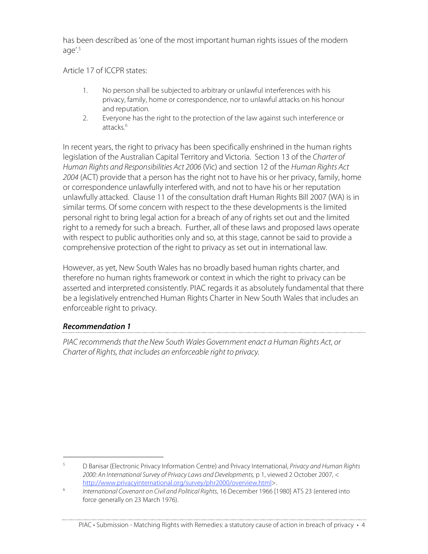has been described as 'one of the most important human rights issues of the modern age'. 5

Article 17 of ICCPR states:

- 1. No person shall be subjected to arbitrary or unlawful interferences with his privacy, family, home or correspondence, nor to unlawful attacks on his honour and reputation.
- 2. Everyone has the right to the protection of the law against such interference or attacks. 6

In recent years, the right to privacy has been specifically enshrined in the human rights legislation of the Australian Capital Territory and Victoria. Section 13 of the Charter of Human Rights and Responsibilities Act 2006 (Vic) and section 12 of the Human Rights Act 2004 (ACT) provide that a person has the right not to have his or her privacy, family, home or correspondence unlawfully interfered with, and not to have his or her reputation unlawfully attacked. Clause 11 of the consultation draft Human Rights Bill 2007 (WA) is in similar terms. Of some concern with respect to the these developments is the limited personal right to bring legal action for a breach of any of rights set out and the limited right to a remedy for such a breach. Further, all of these laws and proposed laws operate with respect to public authorities only and so, at this stage, cannot be said to provide a comprehensive protection of the right to privacy as set out in international law.

However, as yet, New South Wales has no broadly based human rights charter, and therefore no human rights framework or context in which the right to privacy can be asserted and interpreted consistently. PIAC regards it as absolutely fundamental that there be a legislatively entrenched Human Rights Charter in New South Wales that includes an enforceable right to privacy.

#### **Recommendation 1**

PIAC recommends that the New South Wales Government enact a Human Rights Act, or Charter of Rights, that includes an enforceable right to privacy.

<sup>&</sup>lt;sup>5</sup> D Banisar (Electronic Privacy Information Centre) and Privacy International, *Privacy and Human Rights* 2000: An International Survey of Privacy Laws and Developments, p 1, viewed 2 October 2007, < http://www.privacyinternational.org/survey/phr2000/overview.html>.

<sup>&</sup>lt;sup>6</sup> International Covenant on Civil and Political Rights, 16 December 1966 [1980] ATS 23 (entered into force generally on 23 March 1976).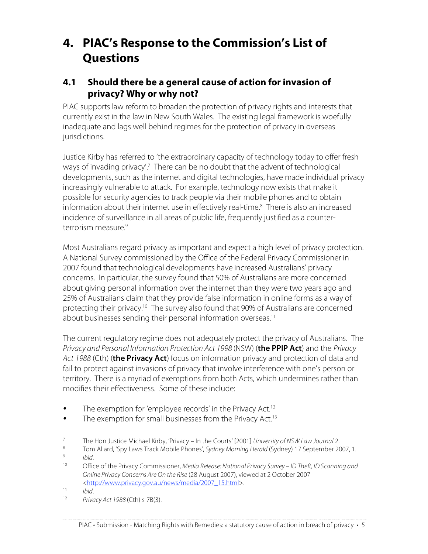# **4. PIAC's Response to the Commission's List of Questions**

# **4.1 Should there be a general cause of action for invasion of privacy? Why or why not?**

PIAC supports law reform to broaden the protection of privacy rights and interests that currently exist in the law in New South Wales. The existing legal framework is woefully inadequate and lags well behind regimes for the protection of privacy in overseas jurisdictions.

Justice Kirby has referred to 'the extraordinary capacity of technology today to offer fresh ways of invading privacy'. <sup>7</sup> There can be no doubt that the advent of technological developments, such as the internet and digital technologies, have made individual privacy increasingly vulnerable to attack. For example, technology now exists that make it possible for security agencies to track people via their mobile phones and to obtain information about their internet use in effectively real-time. <sup>8</sup> There is also an increased incidence of surveillance in all areas of public life, frequently justified as a counterterrorism measure. 9

Most Australians regard privacy as important and expect a high level of privacy protection. A National Survey commissioned by the Office of the Federal Privacy Commissioner in 2007 found that technological developments have increased Australians' privacy concerns. In particular, the survey found that 50% of Australians are more concerned about giving personal information over the internet than they were two years ago and 25% of Australians claim that they provide false information in online forms as a way of protecting their privacy.10 The survey also found that 90% of Australians are concerned about businesses sending their personal information overseas. 11

The current regulatory regime does not adequately protect the privacy of Australians. The Privacy and Personal Information Protection Act 1998 (NSW) (**the PPIP Act**) and the Privacy Act 1988 (Cth) (**the Privacy Act**) focus on information privacy and protection of data and fail to protect against invasions of privacy that involve interference with one's person or territory. There is a myriad of exemptions from both Acts, which undermines rather than modifies their effectiveness. Some of these include:

- The exemption for 'employee records' in the Privacy Act.<sup>12</sup>
- The exemption for small businesses from the Privacy Act.<sup>13</sup>

<sup>&</sup>lt;sup>7</sup> The Hon Justice Michael Kirby, 'Privacy – In the Courts' [2001] University of NSW Law Journal 2.<br><sup>8</sup> Tem Allard 'Sou Joure Track Mobile Phones', Sydney Merning Ustald (Sydney) 17 September 20

<sup>&</sup>lt;sup>8</sup> Tom Allard, 'Spy Laws Track Mobile Phones', Sydney Morning Herald (Sydney) 17 September 2007, 1.<br><sup>9</sup>

 $\frac{9}{10}$  Ibid.

Office of the Privacy Commissioner, Media Release: National Privacy Survey – ID Theft, ID Scanning and Online Privacy Concerns Are On the Rise (28 August 2007), viewed at 2 October 2007 <http://www.privacy.gov.au/news/media/2007\_15.html>.

 $11$  Ibid.

Privacy Act 1988 (Cth) s 7B(3).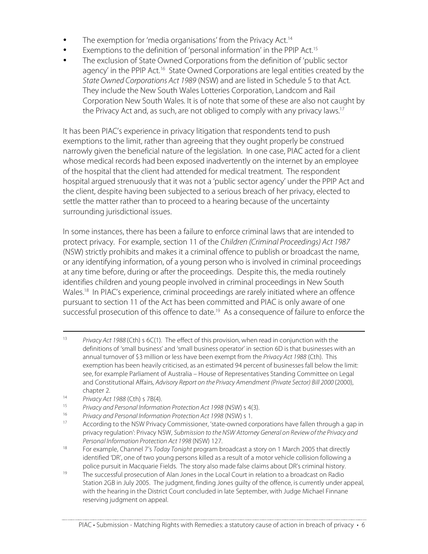- The exemption for 'media organisations' from the Privacy Act.<sup>14</sup>
- Exemptions to the definition of 'personal information' in the PPIP Act.<sup>15</sup>
- The exclusion of State Owned Corporations from the definition of 'public sector agency' in the PPIP Act.<sup>16</sup> State Owned Corporations are legal entities created by the State Owned Corporations Act 1989 (NSW) and are listed in Schedule 5 to that Act. They include the New South Wales Lotteries Corporation, Landcom and Rail Corporation New South Wales. It is of note that some of these are also not caught by the Privacy Act and, as such, are not obliged to comply with any privacy laws.<sup>17</sup>

It has been PIAC's experience in privacy litigation that respondents tend to push exemptions to the limit, rather than agreeing that they ought properly be construed narrowly given the beneficial nature of the legislation. In one case, PIAC acted for a client whose medical records had been exposed inadvertently on the internet by an employee of the hospital that the client had attended for medical treatment. The respondent hospital argued strenuously that it was not a 'public sector agency' under the PPIP Act and the client, despite having been subjected to a serious breach of her privacy, elected to settle the matter rather than to proceed to a hearing because of the uncertainty surrounding jurisdictional issues.

In some instances, there has been a failure to enforce criminal laws that are intended to protect privacy. For example, section 11 of the Children (Criminal Proceedings) Act 1987 (NSW) strictly prohibits and makes it a criminal offence to publish or broadcast the name, or any identifying information, of a young person who is involved in criminal proceedings at any time before, during or after the proceedings. Despite this, the media routinely identifies children and young people involved in criminal proceedings in New South Wales. <sup>18</sup> In PIAC's experience, criminal proceedings are rarely initiated where an offence pursuant to section 11 of the Act has been committed and PIAC is only aware of one successful prosecution of this offence to date.<sup>19</sup> As a consequence of failure to enforce the

- <sup>13</sup> Privacy Act 1988 (Cth) s 6C(1). The effect of this provision, when read in conjunction with the definitions of 'small business' and 'small business operator' in section 6D is that businesses with an annual turnover of \$3 million or less have been exempt from the Privacy Act 1988 (Cth). This exemption has been heavily criticised, as an estimated 94 percent of businesses fall below the limit: see, for example Parliament of Australia – House of Representatives Standing Committee on Legal and Constitutional Affairs, Advisory Report on the Privacy Amendment (Private Sector) Bill 2000 (2000), chapter 2.
- <sup>14</sup> Privacy Act 1988 (Cth) s 7B(4).
- <sup>15</sup> Privacy and Personal Information Protection Act 1998 (NSW) s 4(3).<br><sup>16</sup> Privacy and Personal Information Protection Act 1998 (NSW) s 1
- <sup>16</sup> Privacy and Personal Information Protection Act 1998 (NSW) s 1.
- According to the NSW Privacy Commissioner, 'state-owned corporations have fallen through a gap in privacy regulation': Privacy NSW, Submission to the NSW Attorney General on Reviewof the Privacy and Personal Information Protection Act 1998 (NSW) 127.
- <sup>18</sup> For example, Channel 7's Today Tonight program broadcast a story on 1 March 2005 that directly identified 'DR', one of two young persons killed as a result of a motor vehicle collision following a police pursuit in Macquarie Fields. The story also made false claims about DR's criminal history.
- $19$  The successful prosecution of Alan Jones in the Local Court in relation to a broadcast on Radio Station 2GB in July 2005. The judgment, finding Jones guilty of the offence, is currently under appeal, with the hearing in the District Court concluded in late September, with Judge Michael Finnane reserving judgment on appeal.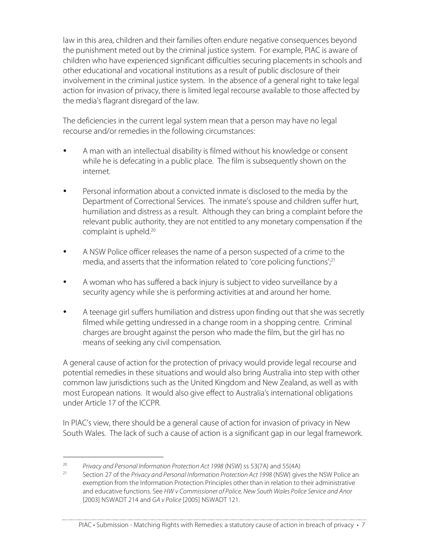law in this area, children and their families often endure negative consequences beyond the punishment meted out by the criminal justice system. For example, PIAC is aware of children who have experienced significant difficulties securing placements in schools and other educational and vocational institutions as a result of public disclosure of their involvement in the criminal justice system. In the absence of a general right to take legal action for invasion of privacy, there is limited legal recourse available to those affected by the media's flagrant disregard of the law.

The deficiencies in the current legal system mean that a person may have no legal recourse and/or remedies in the following circumstances:

- A man with an intellectual disability is filmed without his knowledge or consent while he is defecating in a public place. The film is subsequently shown on the internet.
- Personal information about a convicted inmate is disclosed to the media by the Department of Correctional Services. The inmate's spouse and children suffer hurt, humiliation and distress as a result. Although they can bring a complaint before the relevant public authority, they are not entitled to any monetary compensation if the complaint is upheld. 20
- A NSW Police officer releases the name of a person suspected of a crime to the media, and asserts that the information related to 'core policing functions';<sup>21</sup>
- A woman who has suffered a back injury is subject to video surveillance by a security agency while she is performing activities at and around her home.
- A teenage girl suffers humiliation and distress upon finding out that she was secretly filmed while getting undressed in a change room in a shopping centre. Criminal charges are brought against the person who made the film, but the girl has no means of seeking any civil compensation.

A general cause of action for the protection of privacy would provide legal recourse and potential remedies in these situations and would also bring Australia into step with other common law jurisdictions such as the United Kingdom and New Zealand, as well as with most European nations. It would also give effect to Australia's international obligations under Article 17 of the ICCPR.

In PIAC's view, there should be a general cause of action for invasion of privacy in New South Wales. The lack of such a cause of action is a significant gap in our legal framework.

<sup>&</sup>lt;sup>20</sup> Privacy and Personal Information Protection Act 1998 (NSW) ss 53(7A) and 55(4A)<sup>21</sup>

Section 27 of the Privacy and Personal Information Protection Act 1998 (NSW) gives the NSW Police an exemption from the Information Protection Principles other than in relation to their administrative and educative functions. See HW v Commissioner of Police, New South Wales Police Service and Anor [2003] NSWADT 214 and GA v Police [2005] NSWADT 121.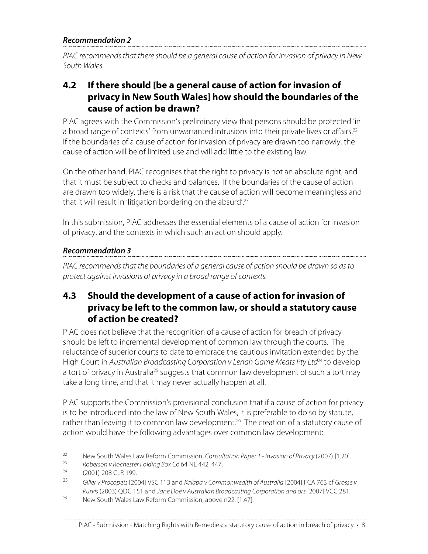#### **Recommendation 2**

PIAC recommends that there should be a general cause of action for invasion of privacy in New South Wales.

### **4.2 If there should [be a general cause of action for invasion of privacy in New South Wales] how should the boundaries of the cause of action be drawn?**

PIAC agrees with the Commission's preliminary view that persons should be protected 'in a broad range of contexts' from unwarranted intrusions into their private lives or affairs.<sup>22</sup> If the boundaries of a cause of action for invasion of privacy are drawn too narrowly, the cause of action will be of limited use and will add little to the existing law.

On the other hand, PIAC recognises that the right to privacy is not an absolute right, and that it must be subject to checks and balances. If the boundaries of the cause of action are drawn too widely, there is a risk that the cause of action will become meaningless and that it will result in 'litigation bordering on the absurd'. 23

In this submission, PIAC addresses the essential elements of a cause of action for invasion of privacy, and the contexts in which such an action should apply.

#### **Recommendation 3**

PIAC recommends that the boundaries of a general cause of action should be drawn so as to protect against invasions of privacy in a broad range of contexts.

# **4.3 Should the development of a cause of action for invasion of privacy be left to the common law, or should a statutory cause of action be created?**

PIAC does not believe that the recognition of a cause of action for breach of privacy should be left to incremental development of common law through the courts. The reluctance of superior courts to date to embrace the cautious invitation extended by the High Court in Australian Broadcasting Corporation v Lenah Game Meats Pty Ltd<sup>24</sup> to develop a tort of privacy in Australia<sup>25</sup> suggests that common law development of such a tort may take a long time, and that it may never actually happen at all.

PIAC supports the Commission's provisional conclusion that if a cause of action for privacy is to be introduced into the law of New South Wales, it is preferable to do so by statute, rather than leaving it to common law development. <sup>26</sup> The creation of a statutory cause of action would have the following advantages over common law development:

<sup>&</sup>lt;sup>22</sup> New South Wales Law Reform Commission, Consultation Paper 1 - Invasion of Privacy (2007) [1.20].<br><sup>23</sup> Peharran y Rochartar Folding Ray Co 6.4 NF 442, 447.

<sup>&</sup>lt;sup>23</sup> Roberson v Rochester Folding Box Co 64 NE 442, 447.<br><sup>24</sup> (2001) 208 CLB 100

 $^{24}$  (2001) 208 CLR 199.

Giller v Procopets [2004] VSC 113 and Kalaba v Commonwealth of Australia [2004] FCA 763 cf Grosse v Purvis (2003) QDC 151 and Jane Doe v Australian Broadcasting Corporation and ors [2007] VCC 281.

<sup>&</sup>lt;sup>26</sup> New South Wales Law Reform Commission, above n22, [1.47].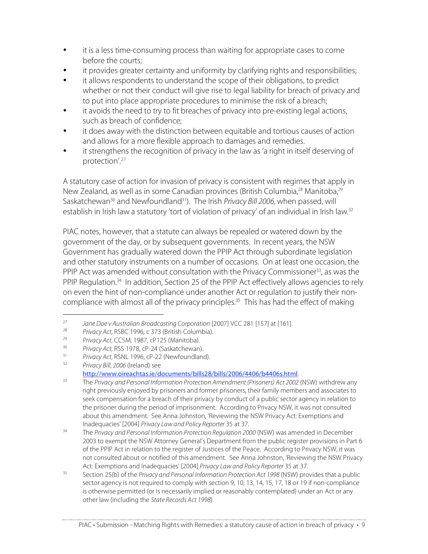- it is a less time-consuming process than waiting for appropriate cases to come before the courts;
- it provides greater certainty and uniformity by clarifying rights and responsibilities;
- it allows respondents to understand the scope of their obligations, to predict whether or not their conduct will give rise to legal liability for breach of privacy and to put into place appropriate procedures to minimise the risk of a breach;
- it avoids the need to try to fit breaches of privacy into pre-existing legal actions, such as breach of confidence;
- it does away with the distinction between equitable and tortious causes of action and allows for a more flexible approach to damages and remedies.
- it strengthens the recognition of privacy in the law as 'a right in itself deserving of protection'. 27

A statutory case of action for invasion of privacy is consistent with regimes that apply in New Zealand, as well as in some Canadian provinces (British Columbia,<sup>28</sup> Manitoba,<sup>29</sup> Saskatchewan<sup>30</sup> and Newfoundland<sup>31</sup>). The Irish Privacy Bill 2006, when passed, will establish in Irish law a statutory 'tort of violation of privacy' of an individual in Irish law.<sup>32</sup>

PIAC notes, however, that a statute can always be repealed or watered down by the government of the day, or by subsequent governments. In recent years, the NSW Government has gradually watered down the PPIP Act through subordinate legislation and other statutory instruments on a number of occasions. On at least one occasion, the PPIP Act was amended without consultation with the Privacy Commissioner<sup>33</sup>, as was the PPIP Regulation.<sup>34</sup> In addition, Section 25 of the PPIP Act effectively allows agencies to rely on even the hint of non-compliance under another Act or regulation to justify their noncompliance with almost all of the privacy principles. <sup>35</sup> This has had the effect of making

http://www.oireachtas.ie/documents/bills28/bills/2006/4406/b4406s.html.

<sup>&</sup>lt;sup>27</sup> Jane Doe v Australian Broadcasting Corporation [2007] VCC 281 [157] at [161].

<sup>&</sup>lt;sup>28</sup> Privacy Act, RSBC 1996, c 373 (British Columbia).<br><sup>29</sup> Privacy Act, CCSM 1997, cP125 (Manitoba).

<sup>&</sup>lt;sup>29</sup> Privacy Act, CCSM, 1987, cP125 (Manitoba).<br><sup>30</sup> Privacy Act, BSS, 1978, cP-24 (Saskatchewan)

 $30$  Privacy Act, RSS 1978, cP-24 (Saskatchewan).

 $31$  Privacy Act, RSNL 1996, cP-22 (Newfoundland).<br> $32$  Privacy Rill 2006 (Iroland) soo

Privacy Bill, 2006 (Ireland) see

<sup>&</sup>lt;sup>33</sup> The Privacy and Personal Information Protection Amendment (Prisoners) Act 2002 (NSW) withdrew any right previously enjoyed by prisoners and former prisoners, their family members and associates to seek compensation for a breach of their privacy by conduct of a public sector agency in relation to the prisoner during the period of imprisonment. According to Privacy NSW, it was not consulted about this amendment. See Anna Johnston, 'Reviewing the NSW Privacy Act: Exemptions and Inadequacies' [2004] Privacy Lawand Policy Reporter 35 at 37.

 $34$  The Privacy and Personal Information Protection Regulation 2000 (NSW) was amended in December 2003 to exempt the NSW Attorney General's Department from the public register provisions in Part 6 of the PPIP Act in relation to the register of Justices of the Peace. According to Privacy NSW, it was not consulted about or notified of this amendment. See Anna Johnston, 'Reviewing the NSW Privacy Act: Exemptions and Inadequacies' [2004] Privacy Lawand Policy Reporter 35 at 37.

<sup>&</sup>lt;sup>35</sup> Section 25(b) of the *Privacy and Personal Information Protection Act 1998* (NSW) provides that a public sector agency is not required to comply with section 9, 10, 13, 14, 15, 17, 18 or 19 if non-compliance is otherwise permitted (or is necessarily implied or reasonably contemplated) under an Act or any other law (including the State Records Act 1998).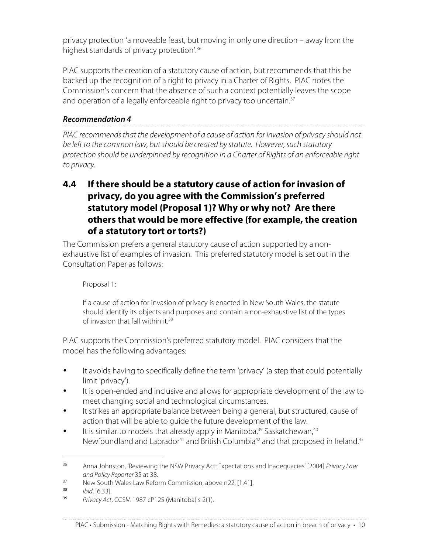privacy protection 'a moveable feast, but moving in only one direction – away from the highest standards of privacy protection'. 36

PIAC supports the creation of a statutory cause of action, but recommends that this be backed up the recognition of a right to privacy in a Charter of Rights. PIAC notes the Commission's concern that the absence of such a context potentially leaves the scope and operation of a legally enforceable right to privacy too uncertain.<sup>37</sup>

#### **Recommendation 4**

PIAC recommends that the development of a cause of action for invasion of privacy should not be left to the common law, but should be created by statute. However, such statutory protection should be underpinned by recognition in a Charter of Rights of an enforceable right to privacy.

# **4.4 If there should be a statutory cause of action for invasion of privacy, do you agree with the Commission's preferred statutory model (Proposal 1)? Why or why not? Are there others that would be more effective (for example, the creation of a statutory tort or torts?)**

The Commission prefers a general statutory cause of action supported by a nonexhaustive list of examples of invasion. This preferred statutory model is set out in the Consultation Paper as follows:

#### Proposal 1:

If a cause of action for invasion of privacy is enacted in New South Wales, the statute should identify its objects and purposes and contain a non-exhaustive list of the types of invasion that fall within it.<sup>38</sup>

PIAC supports the Commission's preferred statutory model. PIAC considers that the model has the following advantages:

- It avoids having to specifically define the term 'privacy' (a step that could potentially limit 'privacy').
- It is open-ended and inclusive and allows for appropriate development of the law to meet changing social and technological circumstances.
- It strikes an appropriate balance between being a general, but structured, cause of action that will be able to guide the future development of the law.
- It is similar to models that already apply in Manitoba,<sup>39</sup> Saskatchewan,<sup>40</sup> Newfoundland and Labrador<sup>41</sup> and British Columbia<sup>42</sup> and that proposed in Ireland.<sup>43</sup>

<sup>&</sup>lt;sup>36</sup> Anna Johnston, 'Reviewing the NSW Privacy Act: Expectations and Inadequacies' [2004] Privacy Law and Policy Reporter 35 at 38.

 $37$  New South Wales Law Reform Commission, above n22, [1.41].

 $^{38}$  Ibid, [6.33].

Privacy Act, CCSM 1987 cP125 (Manitoba) s 2(1).

PIAC • Submission - Matching Rights with Remedies: a statutory cause of action in breach of privacy • 10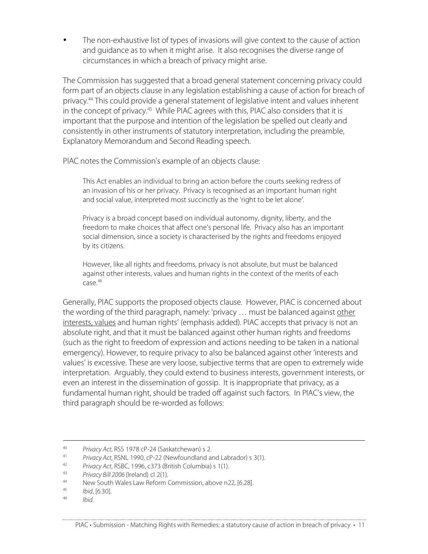The non-exhaustive list of types of invasions will give context to the cause of action and guidance as to when it might arise. It also recognises the diverse range of circumstances in which a breach of privacy might arise.

The Commission has suggested that a broad general statement concerning privacy could form part of an objects clause in any legislation establishing a cause of action for breach of privacy.44 This could provide a general statement of legislative intent and values inherent in the concept of privacy.<sup>45</sup> While PIAC agrees with this, PIAC also considers that it is important that the purpose and intention of the legislation be spelled out clearly and consistently in other instruments of statutory interpretation, including the preamble, Explanatory Memorandum and Second Reading speech.

PIAC notes the Commission's example of an objects clause:

This Act enables an individual to bring an action before the courts seeking redress of an invasion of his or her privacy. Privacy is recognised as an important human right and social value, interpreted most succinctly as the 'right to be let alone'.

Privacy is a broad concept based on individual autonomy, dignity, liberty, and the freedom to make choices that affect one's personal life. Privacy also has an important social dimension, since a society is characterised by the rights and freedoms enjoyed by its citizens.

However, like all rights and freedoms, privacy is not absolute, but must be balanced against other interests, values and human rights in the context of the merits of each case. 46

Generally, PIAC supports the proposed objects clause. However, PIAC is concerned about the wording of the third paragraph, namely: 'privacy … must be balanced against other interests, values and human rights' (emphasis added). PIAC accepts that privacy is not an absolute right, and that it must be balanced against other human rights and freedoms (such as the right to freedom of expression and actions needing to be taken in a national emergency). However, to require privacy to also be balanced against other 'interests and values' is excessive. These are very loose, subjective terms that are open to extremely wide interpretation. Arguably, they could extend to business interests, government interests, or even an interest in the dissemination of gossip. It is inappropriate that privacy, as a fundamental human right, should be traded off against such factors. In PIAC's view, the third paragraph should be re-worded as follows:

<sup>&</sup>lt;sup>40</sup> Privacy Act, RSS 1978 cP-24 (Saskatchewan) s 2.<br><sup>41</sup> Privacy Act, PSNJ, 1990, cP. 22 (Nowfoundland at

<sup>&</sup>lt;sup>41</sup> Privacy Act, RSNL 1990, cP-22 (Newfoundland and Labrador) s 3(1).

<sup>&</sup>lt;sup>42</sup> Privacy Act, RSBC, 1996, c373 (British Columbia) s 1(1).

<sup>&</sup>lt;sup>43</sup> Privacy Bill 2006 (Ireland) cl 2(1).

<sup>&</sup>lt;sup>44</sup> New South Wales Law Reform Commission, above n22, [6.28].<br><sup>45</sup> *Ibid* 16.301

<sup>&</sup>lt;sup>45</sup> Ibid, [6.30].

Ibid.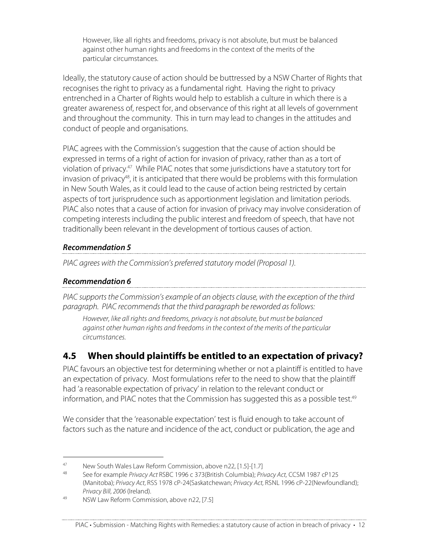However, like all rights and freedoms, privacy is not absolute, but must be balanced against other human rights and freedoms in the context of the merits of the particular circumstances.

Ideally, the statutory cause of action should be buttressed by a NSW Charter of Rights that recognises the right to privacy as a fundamental right. Having the right to privacy entrenched in a Charter of Rights would help to establish a culture in which there is a greater awareness of, respect for, and observance of this right at all levels of government and throughout the community. This in turn may lead to changes in the attitudes and conduct of people and organisations.

PIAC agrees with the Commission's suggestion that the cause of action should be expressed in terms of a right of action for invasion of privacy, rather than as a tort of violation of privacy.47 While PIAC notes that some jurisdictions have a statutory tort for invasion of privacy<sup>48</sup>, it is anticipated that there would be problems with this formulation in New South Wales, as it could lead to the cause of action being restricted by certain aspects of tort jurisprudence such as apportionment legislation and limitation periods. PIAC also notes that a cause of action for invasion of privacy may involve consideration of competing interests including the public interest and freedom of speech, that have not traditionally been relevant in the development of tortious causes of action.

#### **Recommendation 5**

PIAC agrees with the Commission's preferred statutory model (Proposal 1).

#### **Recommendation 6**

PIAC supports the Commission's example of an objects clause, with the exception of the third paragraph. PIAC recommends that the third paragraph be reworded as follows:

However, like all rights and freedoms, privacy is not absolute, but must be balanced against other human rights and freedoms in the context of the merits of the particular circumstances.

# **4.5 When should plaintiffs be entitled to an expectation of privacy?**

PIAC favours an objective test for determining whether or not a plaintiff is entitled to have an expectation of privacy. Most formulations refer to the need to show that the plaintiff had 'a reasonable expectation of privacy' in relation to the relevant conduct or information, and PIAC notes that the Commission has suggested this as a possible test. 49

We consider that the 'reasonable expectation' test is fluid enough to take account of factors such as the nature and incidence of the act, conduct or publication, the age and

### PIAC • Submission - Matching Rights with Remedies: a statutory cause of action in breach of privacy • 12

<sup>&</sup>lt;sup>47</sup> New South Wales Law Reform Commission, above n22, [1.5]-[1.7]<br><sup>48</sup> See far evample *Rivany Ast BSBC* 1996 s 273 (British Columbia), *Rri* 

See for example Privacy Act RSBC 1996 c 373(British Columbia); Privacy Act, CCSM 1987 cP125 (Manitoba); Privacy Act, RSS 1978 cP-24(Saskatchewan; Privacy Act, RSNL 1996 cP-22(Newfoundland); Privacy Bill, 2006 (Ireland).

<sup>49</sup> NSW Law Reform Commission, above n22, [7.5]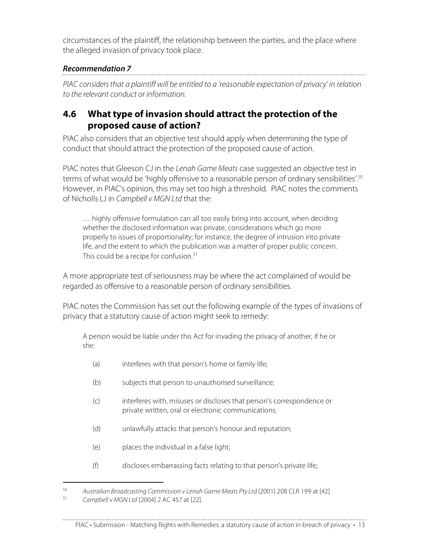circumstances of the plaintiff, the relationship between the parties, and the place where the alleged invasion of privacy took place.

## **Recommendation 7**

PIAC considers that a plaintiff will be entitled to a 'reasonable expectation of privacy' in relation to the relevant conduct or information.

# **4.6 What type of invasion should attract the protection of the proposed cause of action?**

PIAC also considers that an objective test should apply when determining the type of conduct that should attract the protection of the proposed cause of action.

PIAC notes that Gleeson CJ in the Lenah Game Meats case suggested an objective test in terms of what would be 'highly offensive to a reasonable person of ordinary sensibilities'.<sup>50</sup> However, in PIAC's opinion, this may set too high a threshold. PIAC notes the comments of Nicholls LJ in Campbell v MGN Ltd that the:

… highly offensive formulation can all too easily bring into account, when deciding whether the disclosed information was private, considerations which go more properly to issues of proportionality; for instance, the degree of intrusion into private life, and the extent to which the publication was a matter of proper public concern. This could be a recipe for confusion. 51

A more appropriate test of seriousness may be where the act complained of would be regarded as offensive to a reasonable person of ordinary sensibilities.

PIAC notes the Commission has set out the following example of the types of invasions of privacy that a statutory cause of action might seek to remedy:

A person would be liable under this Act for invading the privacy of another, if he or she:

- (a) interferes with that person's home or family life;
- (b) subjects that person to unauthorised surveillance;
- (c) interferes with, misuses or discloses that person's correspondence or private written, oral or electronic communications;
- (d) unlawfully attacks that person's honour and reputation;
- (e) places the individual in a false light;
- (f) discloses embarrassing facts relating to that person's private life;

<sup>&</sup>lt;sup>50</sup> Australian Broadcasting Commission v Lenah Game Meats Pty Ltd (2001) 208 CLR 199 at [42]<br><sup>51</sup> Campbelly MCN Ltd [2004] 2 AC 457 at [22] Campbell v MGN Ltd [2004] 2 AC 457 at [22].

PIAC • Submission - Matching Rights with Remedies: a statutory cause of action in breach of privacy • 13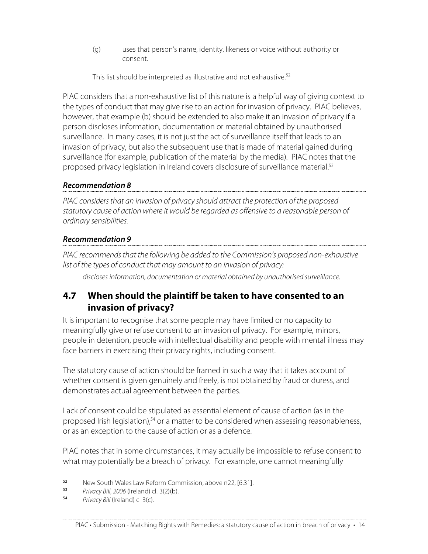(g) uses that person's name, identity, likeness or voice without authority or consent.

This list should be interpreted as illustrative and not exhaustive. 52

PIAC considers that a non-exhaustive list of this nature is a helpful way of giving context to the types of conduct that may give rise to an action for invasion of privacy. PIAC believes, however, that example (b) should be extended to also make it an invasion of privacy if a person discloses information, documentation or material obtained by unauthorised surveillance. In many cases, it is not just the act of surveillance itself that leads to an invasion of privacy, but also the subsequent use that is made of material gained during surveillance (for example, publication of the material by the media). PIAC notes that the proposed privacy legislation in Ireland covers disclosure of surveillance material. 53

#### **Recommendation 8**

PIAC considers that an invasion of privacy should attract the protection of the proposed statutory cause of action where it would be regarded as offensive to a reasonable person of ordinary sensibilities.

#### **Recommendation 9**

PIAC recommends that the following be added to the Commission's proposed non-exhaustive list of the types of conduct that may amount to an invasion of privacy:

discloses information, documentation or material obtained by unauthorised surveillance.

# **4.7 When should the plaintiff be taken to have consented to an invasion of privacy?**

It is important to recognise that some people may have limited or no capacity to meaningfully give or refuse consent to an invasion of privacy. For example, minors, people in detention, people with intellectual disability and people with mental illness may face barriers in exercising their privacy rights, including consent.

The statutory cause of action should be framed in such a way that it takes account of whether consent is given genuinely and freely, is not obtained by fraud or duress, and demonstrates actual agreement between the parties.

Lack of consent could be stipulated as essential element of cause of action (as in the proposed Irish legislation),<sup>54</sup> or a matter to be considered when assessing reasonableness, or as an exception to the cause of action or as a defence.

PIAC notes that in some circumstances, it may actually be impossible to refuse consent to what may potentially be a breach of privacy. For example, one cannot meaningfully

I <sup>52</sup> New South Wales Law Reform Commission, above n22, [6.31].<br><sup>53</sup> Privacy Rill 2006 (Ireland) cl. 3(2)(b)

<sup>&</sup>lt;sup>53</sup> Privacy Bill, 2006 (Ireland) cl. 3(2)(b).<br><sup>54</sup> Privacy Bill (Ireland) cl. 3(c)

Privacy Bill (Ireland) cl 3(c).

PIAC • Submission - Matching Rights with Remedies: a statutory cause of action in breach of privacy • 14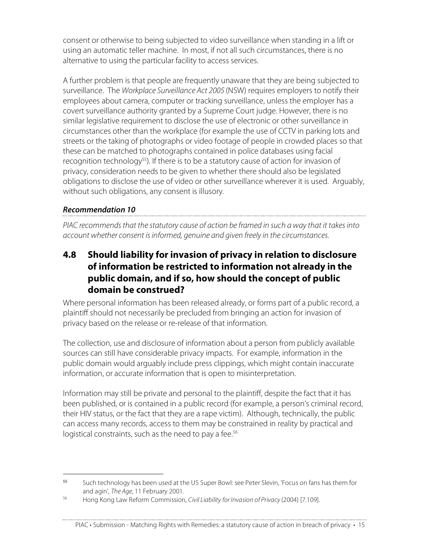consent or otherwise to being subjected to video surveillance when standing in a lift or using an automatic teller machine. In most, if not all such circumstances, there is no alternative to using the particular facility to access services.

A further problem is that people are frequently unaware that they are being subjected to surveillance. The Workplace Surveillance Act 2005 (NSW) requires employers to notify their employees about camera, computer or tracking surveillance, unless the employer has a covert surveillance authority granted by a Supreme Court judge. However, there is no similar legislative requirement to disclose the use of electronic or other surveillance in circumstances other than the workplace (for example the use of CCTV in parking lots and streets or the taking of photographs or video footage of people in crowded places so that these can be matched to photographs contained in police databases using facial recognition technology<sup>55</sup>). If there is to be a statutory cause of action for invasion of privacy, consideration needs to be given to whether there should also be legislated obligations to disclose the use of video or other surveillance wherever it is used. Arguably, without such obligations, any consent is illusory.

#### **Recommendation 10**

PIAC recommends that the statutory cause of action be framed in such a way that it takes into account whether consent is informed, genuine and given freely in the circumstances.

# **4.8 Should liability for invasion of privacy in relation to disclosure of information be restricted to information not already in the public domain, and if so, how should the concept of public domain be construed?**

Where personal information has been released already, or forms part of a public record, a plaintiff should not necessarily be precluded from bringing an action for invasion of privacy based on the release or re-release of that information.

The collection, use and disclosure of information about a person from publicly available sources can still have considerable privacy impacts. For example, information in the public domain would arguably include press clippings, which might contain inaccurate information, or accurate information that is open to misinterpretation.

Information may still be private and personal to the plaintiff, despite the fact that it has been published, or is contained in a public record (for example, a person's criminal record, their HIV status, or the fact that they are a rape victim). Although, technically, the public can access many records, access to them may be constrained in reality by practical and logistical constraints, such as the need to pay a fee.<sup>56</sup>

I <sup>55</sup> Such technology has been used at the US Super Bowl: see Peter Slevin, 'Focus on fans has them for and agin', The Age, 11 February 2001.

<sup>56</sup> Hong Kong Law Reform Commission, Civil Liability for Invasion of Privacy (2004) [7.109].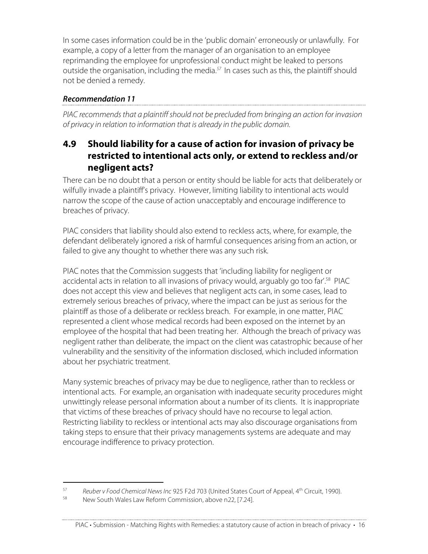In some cases information could be in the 'public domain' erroneously or unlawfully. For example, a copy of a letter from the manager of an organisation to an employee reprimanding the employee for unprofessional conduct might be leaked to persons outside the organisation, including the media.<sup>57</sup> In cases such as this, the plaintiff should not be denied a remedy.

#### **Recommendation 11**

PIAC recommends that a plaintiff should not be precluded from bringing an action for invasion of privacy in relation to information that is already in the public domain.

# **4.9 Should liability for a cause of action for invasion of privacy be restricted to intentional acts only, or extend to reckless and/or negligent acts?**

There can be no doubt that a person or entity should be liable for acts that deliberately or wilfully invade a plaintiff's privacy. However, limiting liability to intentional acts would narrow the scope of the cause of action unacceptably and encourage indifference to breaches of privacy.

PIAC considers that liability should also extend to reckless acts, where, for example, the defendant deliberately ignored a risk of harmful consequences arising from an action, or failed to give any thought to whether there was any such risk.

PIAC notes that the Commission suggests that 'including liability for negligent or accidental acts in relation to all invasions of privacy would, arguably go too far'. <sup>58</sup> PIAC does not accept this view and believes that negligent acts can, in some cases, lead to extremely serious breaches of privacy, where the impact can be just as serious for the plaintiff as those of a deliberate or reckless breach. For example, in one matter, PIAC represented a client whose medical records had been exposed on the internet by an employee of the hospital that had been treating her. Although the breach of privacy was negligent rather than deliberate, the impact on the client was catastrophic because of her vulnerability and the sensitivity of the information disclosed, which included information about her psychiatric treatment.

Many systemic breaches of privacy may be due to negligence, rather than to reckless or intentional acts. For example, an organisation with inadequate security procedures might unwittingly release personal information about a number of its clients. It is inappropriate that victims of these breaches of privacy should have no recourse to legal action. Restricting liability to reckless or intentional acts may also discourage organisations from taking steps to ensure that their privacy managements systems are adequate and may encourage indifference to privacy protection.

<sup>&</sup>lt;sup>57</sup> Reuber v Food Chemical News Inc 925 F2d 703 (United States Court of Appeal,  $4<sup>th</sup>$  Circuit, 1990).

New South Wales Law Reform Commission, above n22, [7.24].

PIAC • Submission - Matching Rights with Remedies: a statutory cause of action in breach of privacy • 16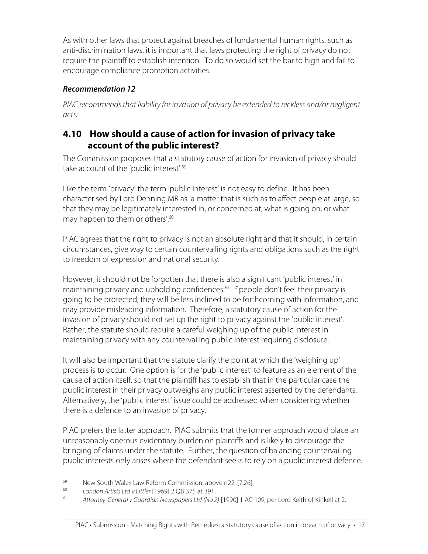As with other laws that protect against breaches of fundamental human rights, such as anti-discrimination laws, it is important that laws protecting the right of privacy do not require the plaintiff to establish intention. To do so would set the bar to high and fail to encourage compliance promotion activities.

#### **Recommendation 12**

PIAC recommends that liability for invasion of privacy be extended to reckless and/or negligent acts.

# **4.10 How should a cause of action for invasion of privacy take account of the public interest?**

The Commission proposes that a statutory cause of action for invasion of privacy should take account of the 'public interest'. 59

Like the term 'privacy' the term 'public interest' is not easy to define. It has been characterised by Lord Denning MR as 'a matter that is such as to affect people at large, so that they may be legitimately interested in, or concerned at, what is going on, or what may happen to them or others'. 60

PIAC agrees that the right to privacy is not an absolute right and that it should, in certain circumstances, give way to certain countervailing rights and obligations such as the right to freedom of expression and national security.

However, it should not be forgotten that there is also a significant 'public interest' in maintaining privacy and upholding confidences. <sup>61</sup> If people don't feel their privacy is going to be protected, they will be less inclined to be forthcoming with information, and may provide misleading information. Therefore, a statutory cause of action for the invasion of privacy should not set up the right to privacy against the 'public interest'. Rather, the statute should require a careful weighing up of the public interest in maintaining privacy with any countervailing public interest requiring disclosure.

It will also be important that the statute clarify the point at which the 'weighing up' process is to occur. One option is for the 'public interest' to feature as an element of the cause of action itself, so that the plaintiff has to establish that in the particular case the public interest in their privacy outweighs any public interest asserted by the defendants. Alternatively, the 'public interest' issue could be addressed when considering whether there is a defence to an invasion of privacy.

PIAC prefers the latter approach. PIAC submits that the former approach would place an unreasonably onerous evidentiary burden on plaintiffs and is likely to discourage the bringing of claims under the statute. Further, the question of balancing countervailing public interests only arises where the defendant seeks to rely on a public interest defence.

<sup>&</sup>lt;sup>59</sup> New South Wales Law Reform Commission, above n22, [7.26]<br><sup>60</sup> London Artists Ltd v Littler [1969] 2 OB 375 at 391

<sup>&</sup>lt;sup>60</sup> London Artists Ltd v Littler [1969] 2 QB 375 at 391.<br><sup>61</sup> Attorney General v Guardian Newspapers Ltd (No. 2

Attorney-General v Guardian Newspapers Ltd (No 2) [1990] 1 AC 109, per Lord Keith of Kinkell at 2.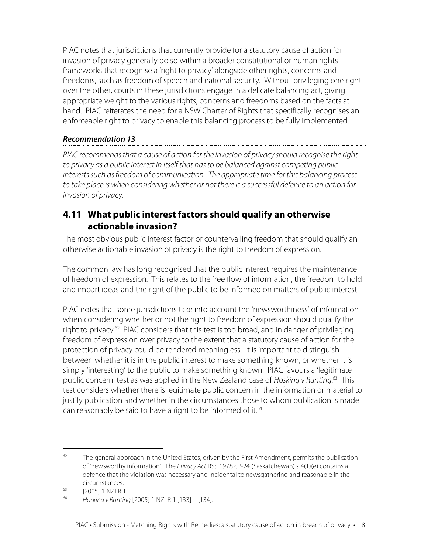PIAC notes that jurisdictions that currently provide for a statutory cause of action for invasion of privacy generally do so within a broader constitutional or human rights frameworks that recognise a 'right to privacy' alongside other rights, concerns and freedoms, such as freedom of speech and national security. Without privileging one right over the other, courts in these jurisdictions engage in a delicate balancing act, giving appropriate weight to the various rights, concerns and freedoms based on the facts at hand. PIAC reiterates the need for a NSW Charter of Rights that specifically recognises an enforceable right to privacy to enable this balancing process to be fully implemented.

#### **Recommendation 13**

PIAC recommends that a cause of action for the invasion of privacy should recognise the right to privacy as a public interest in itself that has to be balanced against competing public interests such as freedom of communication. The appropriate time for this balancing process to take place is when considering whether or not there is a successful defence to an action for invasion of privacy.

## **4.11 What public interest factors should qualify an otherwise actionable invasion?**

The most obvious public interest factor or countervailing freedom that should qualify an otherwise actionable invasion of privacy is the right to freedom of expression.

The common law has long recognised that the public interest requires the maintenance of freedom of expression. This relates to the free flow of information, the freedom to hold and impart ideas and the right of the public to be informed on matters of public interest.

PIAC notes that some jurisdictions take into account the 'newsworthiness' of information when considering whether or not the right to freedom of expression should qualify the right to privacy.<sup>62</sup> PIAC considers that this test is too broad, and in danger of privileging freedom of expression over privacy to the extent that a statutory cause of action for the protection of privacy could be rendered meaningless. It is important to distinguish between whether it is in the public interest to make something known, or whether it is simply 'interesting' to the public to make something known. PIAC favours a 'legitimate public concern' test as was applied in the New Zealand case of Hosking v Runting.<sup>63</sup> This test considers whether there is legitimate public concern in the information or material to justify publication and whether in the circumstances those to whom publication is made can reasonably be said to have a right to be informed of it.<sup>64</sup>

 $62$  The general approach in the United States, driven by the First Amendment, permits the publication of 'newsworthy information'. The Privacy Act RSS 1978 cP-24 (Saskatchewan) s 4(1)(e) contains a defence that the violation was necessary and incidental to newsgathering and reasonable in the circumstances.

 $^{63}$  [2005] 1 NZLR 1.

<sup>64</sup> Hosking v Runting [2005] 1 NZLR 1 [133] – [134].

PIAC • Submission - Matching Rights with Remedies: a statutory cause of action in breach of privacy • 18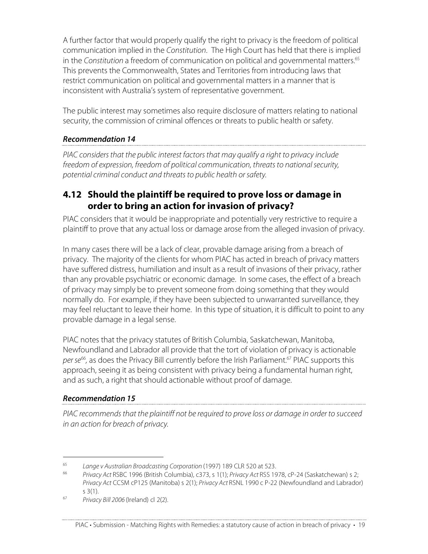A further factor that would properly qualify the right to privacy is the freedom of political communication implied in the Constitution. The High Court has held that there is implied in the Constitution a freedom of communication on political and governmental matters. 65 This prevents the Commonwealth, States and Territories from introducing laws that restrict communication on political and governmental matters in a manner that is inconsistent with Australia's system of representative government.

The public interest may sometimes also require disclosure of matters relating to national security, the commission of criminal offences or threats to public health or safety.

#### **Recommendation 14**

PIAC considers that the public interest factors that may qualify a right to privacy include freedom of expression, freedom of political communication, threats to national security, potential criminal conduct and threats to public health or safety.

# **4.12 Should the plaintiff be required to prove loss or damage in order to bring an action for invasion of privacy?**

PIAC considers that it would be inappropriate and potentially very restrictive to require a plaintiff to prove that any actual loss or damage arose from the alleged invasion of privacy.

In many cases there will be a lack of clear, provable damage arising from a breach of privacy. The majority of the clients for whom PIAC has acted in breach of privacy matters have suffered distress, humiliation and insult as a result of invasions of their privacy, rather than any provable psychiatric or economic damage. In some cases, the effect of a breach of privacy may simply be to prevent someone from doing something that they would normally do. For example, if they have been subjected to unwarranted surveillance, they may feel reluctant to leave their home. In this type of situation, it is difficult to point to any provable damage in a legal sense.

PIAC notes that the privacy statutes of British Columbia, Saskatchewan, Manitoba, Newfoundland and Labrador all provide that the tort of violation of privacy is actionable per se<sup>66</sup>, as does the Privacy Bill currently before the Irish Parliament.<sup>67</sup> PIAC supports this approach, seeing it as being consistent with privacy being a fundamental human right, and as such, a right that should actionable without proof of damage.

### **Recommendation 15**

PIAC recommends that the plaintiff not be required to prove loss or damage in order to succeed in an action for breach of privacy.

<sup>&</sup>lt;sup>65</sup> Lange v Australian Broadcasting Corporation (1997) 189 CLR 520 at 523.<br><sup>66</sup> Primary Act BSBC 1996 (British Columbia) 6273 6 1(1): Britagy Act BSS 19

Privacy Act RSBC 1996 (British Columbia), c373, s 1(1); Privacy Act RSS 1978, cP-24 (Saskatchewan) s 2; Privacy Act CCSM cP125 (Manitoba) s 2(1); Privacy Act RSNL 1990 c P-22 (Newfoundland and Labrador) s 3(1).

<sup>67</sup> Privacy Bill 2006 (Ireland) cl 2(2).

PIAC • Submission - Matching Rights with Remedies: a statutory cause of action in breach of privacy • 19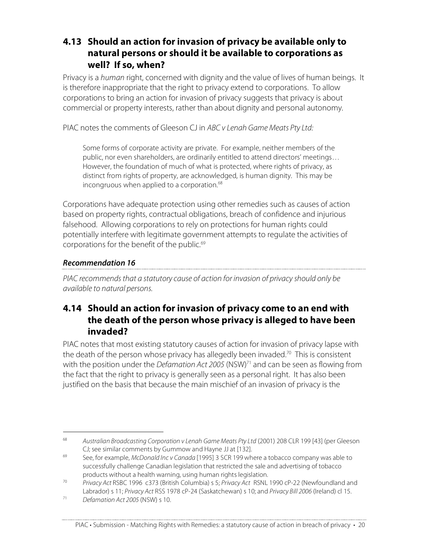# **4.13 Should an action for invasion of privacy be available only to natural persons or should it be available to corporations as well? If so, when?**

Privacy is a human right, concerned with dignity and the value of lives of human beings. It is therefore inappropriate that the right to privacy extend to corporations. To allow corporations to bring an action for invasion of privacy suggests that privacy is about commercial or property interests, rather than about dignity and personal autonomy.

PIAC notes the comments of Gleeson CJ in ABC v Lenah Game Meats Pty Ltd:

Some forms of corporate activity are private. For example, neither members of the public, nor even shareholders, are ordinarily entitled to attend directors' meetings… However, the foundation of much of what is protected, where rights of privacy, as distinct from rights of property, are acknowledged, is human dignity. This may be incongruous when applied to a corporation. 68

Corporations have adequate protection using other remedies such as causes of action based on property rights, contractual obligations, breach of confidence and injurious falsehood. Allowing corporations to rely on protections for human rights could potentially interfere with legitimate government attempts to regulate the activities of corporations for the benefit of the public. 69

#### **Recommendation 16**

PIAC recommends that a statutory cause of action for invasion of privacy should only be available to natural persons.

### **4.14 Should an action for invasion of privacy come to an end with the death of the person whose privacy is alleged to have been invaded?**

PIAC notes that most existing statutory causes of action for invasion of privacy lapse with the death of the person whose privacy has allegedly been invaded.<sup>70</sup> This is consistent with the position under the *Defamation Act 2005* (NSW) $^{71}$  and can be seen as flowing from the fact that the right to privacy is generally seen as a personal right. It has also been justified on the basis that because the main mischief of an invasion of privacy is the

<sup>&</sup>lt;sup>68</sup> Australian Broadcasting Corporation v Lenah Game Meats Pty Ltd (2001) 208 CLR 199 [43] (per Gleeson CJ; see similar comments by Gummow and Hayne JJ at [132].

 $69$  See, for example, McDonald Inc v Canada [1995] 3 SCR 199 where a tobacco company was able to successfully challenge Canadian legislation that restricted the sale and advertising of tobacco products without a health warning, using human rights legislation.

<sup>&</sup>lt;sup>70</sup> Privacy Act RSBC 1996 c373 (British Columbia) s 5; Privacy Act RSNL 1990 cP-22 (Newfoundland and Labrador) s 11; Privacy Act RSS 1978 cP-24 (Saskatchewan) s 10; and Privacy Bill 2006 (Ireland) cl 15.

 $71$  Defamation Act 2005 (NSW) s 10.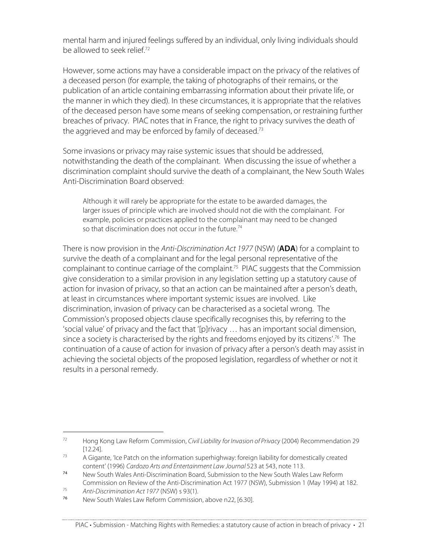mental harm and injured feelings suffered by an individual, only living individuals should be allowed to seek relief. 72

However, some actions may have a considerable impact on the privacy of the relatives of a deceased person (for example, the taking of photographs of their remains, or the publication of an article containing embarrassing information about their private life, or the manner in which they died). In these circumstances, it is appropriate that the relatives of the deceased person have some means of seeking compensation, or restraining further breaches of privacy. PIAC notes that in France, the right to privacy survives the death of the aggrieved and may be enforced by family of deceased.<sup>73</sup>

Some invasions or privacy may raise systemic issues that should be addressed, notwithstanding the death of the complainant. When discussing the issue of whether a discrimination complaint should survive the death of a complainant, the New South Wales Anti-Discrimination Board observed:

Although it will rarely be appropriate for the estate to be awarded damages, the larger issues of principle which are involved should not die with the complainant. For example, policies or practices applied to the complainant may need to be changed so that discrimination does not occur in the future.<sup>74</sup>

There is now provision in the Anti-Discrimination Act 1977 (NSW) (**ADA**) for a complaint to survive the death of a complainant and for the legal personal representative of the complainant to continue carriage of the complaint. <sup>75</sup> PIAC suggests that the Commission give consideration to a similar provision in any legislation setting up a statutory cause of action for invasion of privacy, so that an action can be maintained after a person's death, at least in circumstances where important systemic issues are involved. Like discrimination, invasion of privacy can be characterised as a societal wrong. The Commission's proposed objects clause specifically recognises this, by referring to the 'social value' of privacy and the fact that '[p]rivacy … has an important social dimension, since a society is characterised by the rights and freedoms enjoyed by its citizens'. <sup>76</sup> The continuation of a cause of action for invasion of privacy after a person's death may assist in achieving the societal objects of the proposed legislation, regardless of whether or not it results in a personal remedy.

 $72$  Hong Kong Law Reform Commission, *Civil Liability for Invasion of Privacy* (2004) Recommendation 29 [12.24].

 $73$  A Gigante, 'Ice Patch on the information superhighway: foreign liability for domestically created content' (1996) Cardozo Arts and Entertainment Law Journal 523 at 543, note 113.

<sup>74</sup> New South Wales Anti-Discrimination Board, Submission to the New South Wales Law Reform Commission on Review of the Anti-Discrimination Act 1977 (NSW), Submission 1 (May 1994) at 182.

<sup>&</sup>lt;sup>75</sup> Anti-Discrimination Act 1977 (NSW) s 93(1).

New South Wales Law Reform Commission, above n22, [6.30].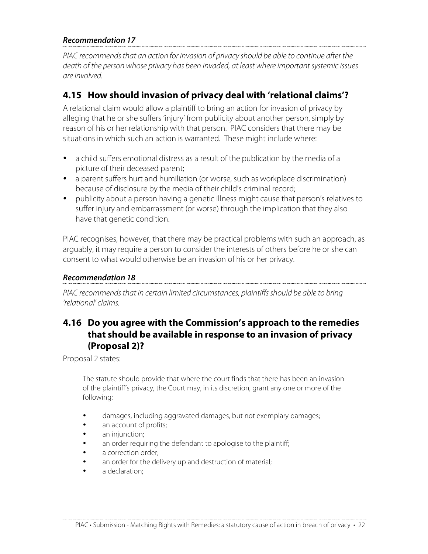#### **Recommendation 17**

PIAC recommends that an action for invasion of privacy should be able to continue after the death of the person whose privacy has been invaded, at least where important systemic issues are involved.

# **4.15 How should invasion of privacy deal with 'relational claims'?**

A relational claim would allow a plaintiff to bring an action for invasion of privacy by alleging that he or she suffers 'injury' from publicity about another person, simply by reason of his or her relationship with that person. PIAC considers that there may be situations in which such an action is warranted. These might include where:

- a child suffers emotional distress as a result of the publication by the media of a picture of their deceased parent;
- a parent suffers hurt and humiliation (or worse, such as workplace discrimination) because of disclosure by the media of their child's criminal record;
- publicity about a person having a genetic illness might cause that person's relatives to suffer injury and embarrassment (or worse) through the implication that they also have that genetic condition.

PIAC recognises, however, that there may be practical problems with such an approach, as arguably, it may require a person to consider the interests of others before he or she can consent to what would otherwise be an invasion of his or her privacy.

#### **Recommendation 18**

PIAC recommends that in certain limited circumstances, plaintiffs should be able to bring 'relational' claims.

# **4.16 Do you agree with the Commission's approach to the remedies that should be available in response to an invasion of privacy (Proposal 2)?**

Proposal 2 states:

The statute should provide that where the court finds that there has been an invasion of the plaintiff's privacy, the Court may, in its discretion, grant any one or more of the following:

- damages, including aggravated damages, but not exemplary damages;
- an account of profits;
- an injunction;
- an order requiring the defendant to apologise to the plaintiff;
- a correction order;
- an order for the delivery up and destruction of material;
- a declaration;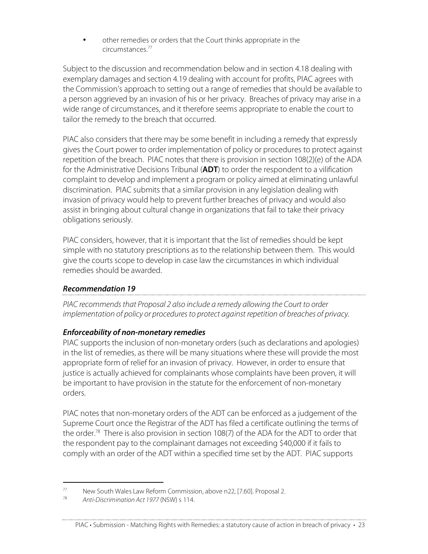• other remedies or orders that the Court thinks appropriate in the circumstances. 77

Subject to the discussion and recommendation below and in section 4.18 dealing with exemplary damages and section 4.19 dealing with account for profits, PIAC agrees with the Commission's approach to setting out a range of remedies that should be available to a person aggrieved by an invasion of his or her privacy. Breaches of privacy may arise in a wide range of circumstances, and it therefore seems appropriate to enable the court to tailor the remedy to the breach that occurred.

PIAC also considers that there may be some benefit in including a remedy that expressly gives the Court power to order implementation of policy or procedures to protect against repetition of the breach. PIAC notes that there is provision in section 108(2)(e) of the ADA for the Administrative Decisions Tribunal (**ADT**) to order the respondent to a vilification complaint to develop and implement a program or policy aimed at eliminating unlawful discrimination. PIAC submits that a similar provision in any legislation dealing with invasion of privacy would help to prevent further breaches of privacy and would also assist in bringing about cultural change in organizations that fail to take their privacy obligations seriously.

PIAC considers, however, that it is important that the list of remedies should be kept simple with no statutory prescriptions as to the relationship between them. This would give the courts scope to develop in case law the circumstances in which individual remedies should be awarded.

#### **Recommendation 19**

PIAC recommends that Proposal 2 also include a remedy allowing the Court to order implementation of policy or procedures to protect against repetition of breaches of privacy.

#### **Enforceability of non-monetary remedies**

PIAC supports the inclusion of non-monetary orders (such as declarations and apologies) in the list of remedies, as there will be many situations where these will provide the most appropriate form of relief for an invasion of privacy. However, in order to ensure that justice is actually achieved for complainants whose complaints have been proven, it will be important to have provision in the statute for the enforcement of non-monetary orders.

PIAC notes that non-monetary orders of the ADT can be enforced as a judgement of the Supreme Court once the Registrar of the ADT has filed a certificate outlining the terms of the order. <sup>78</sup> There is also provision in section 108(7) of the ADA for the ADT to order that the respondent pay to the complainant damages not exceeding \$40,000 if it fails to comply with an order of the ADT within a specified time set by the ADT. PIAC supports

<sup>77</sup> New South Wales Law Reform Commission, above n22, [7.60]. Proposal 2.<br> $\frac{78}{100}$  Anti Discrimination Act 1077 (NSM) s 114

Anti-Discrimination Act 1977 (NSW) s 114.

PIAC • Submission - Matching Rights with Remedies: a statutory cause of action in breach of privacy • 23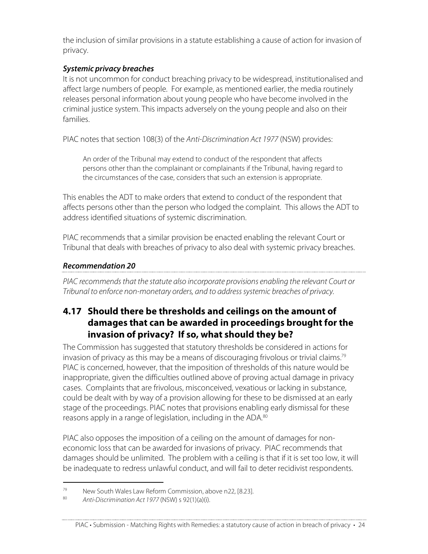the inclusion of similar provisions in a statute establishing a cause of action for invasion of privacy.

#### **Systemic privacy breaches**

It is not uncommon for conduct breaching privacy to be widespread, institutionalised and affect large numbers of people. For example, as mentioned earlier, the media routinely releases personal information about young people who have become involved in the criminal justice system. This impacts adversely on the young people and also on their families.

PIAC notes that section 108(3) of the Anti-Discrimination Act 1977 (NSW) provides:

An order of the Tribunal may extend to conduct of the respondent that affects persons other than the complainant or complainants if the Tribunal, having regard to the circumstances of the case, considers that such an extension is appropriate.

This enables the ADT to make orders that extend to conduct of the respondent that affects persons other than the person who lodged the complaint. This allows the ADT to address identified situations of systemic discrimination.

PIAC recommends that a similar provision be enacted enabling the relevant Court or Tribunal that deals with breaches of privacy to also deal with systemic privacy breaches.

#### **Recommendation 20**

PIAC recommends that the statute also incorporate provisions enabling the relevant Court or Tribunal to enforce non-monetary orders, and to address systemic breaches of privacy.

# **4.17 Should there be thresholds and ceilings on the amount of damages that can be awarded in proceedings brought for the invasion of privacy? If so, what should they be?**

The Commission has suggested that statutory thresholds be considered in actions for invasion of privacy as this may be a means of discouraging frivolous or trivial claims. $^{79}$ PIAC is concerned, however, that the imposition of thresholds of this nature would be inappropriate, given the difficulties outlined above of proving actual damage in privacy cases. Complaints that are frivolous, misconceived, vexatious or lacking in substance, could be dealt with by way of a provision allowing for these to be dismissed at an early stage of the proceedings. PIAC notes that provisions enabling early dismissal for these reasons apply in a range of legislation, including in the ADA.<sup>80</sup>

PIAC also opposes the imposition of a ceiling on the amount of damages for noneconomic loss that can be awarded for invasions of privacy. PIAC recommends that damages should be unlimited. The problem with a ceiling is that if it is set too low, it will be inadequate to redress unlawful conduct, and will fail to deter recidivist respondents.

<sup>&</sup>lt;sup>79</sup> New South Wales Law Reform Commission, above n22, [8.23].<br><sup>80</sup> Anti Discrimination Act 1.077 (NSM) s 02(1)(2)(i)

Anti-Discrimination Act 1977 (NSW) s 92(1)(a)(i).

PIAC • Submission - Matching Rights with Remedies: a statutory cause of action in breach of privacy • 24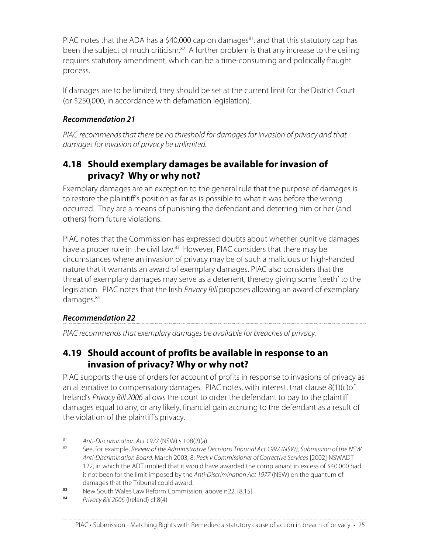PIAC notes that the ADA has a \$40,000 cap on damages<sup>81</sup>, and that this statutory cap has been the subject of much criticism.<sup>82</sup> A further problem is that any increase to the ceiling requires statutory amendment, which can be a time-consuming and politically fraught process.

If damages are to be limited, they should be set at the current limit for the District Court (or \$250,000, in accordance with defamation legislation).

#### **Recommendation 21**

PIAC recommends that there be no threshold for damages for invasion of privacy and that damages for invasion of privacy be unlimited.

## **4.18 Should exemplary damages be available for invasion of privacy? Why or why not?**

Exemplary damages are an exception to the general rule that the purpose of damages is to restore the plaintiff's position as far as is possible to what it was before the wrong occurred. They are a means of punishing the defendant and deterring him or her (and others) from future violations.

PIAC notes that the Commission has expressed doubts about whether punitive damages have a proper role in the civil law.<sup>83</sup> However, PIAC considers that there may be circumstances where an invasion of privacy may be of such a malicious or high-handed nature that it warrants an award of exemplary damages. PIAC also considers that the threat of exemplary damages may serve as a deterrent, thereby giving some 'teeth' to the legislation. PIAC notes that the Irish Privacy Bill proposes allowing an award of exemplary damages. 84

#### **Recommendation 22**

PIAC recommends that exemplary damages be available for breaches of privacy.

# **4.19 Should account of profits be available in response to an invasion of privacy? Why or why not?**

PIAC supports the use of orders for account of profits in response to invasions of privacy as an alternative to compensatory damages. PIAC notes, with interest, that clause 8(1)(c)of Ireland's Privacy Bill 2006 allows the court to order the defendant to pay to the plaintiff damages equal to any, or any likely, financial gain accruing to the defendant as a result of the violation of the plaintiff's privacy.

<sup>&</sup>lt;sup>81</sup> Anti-Discrimination Act 1977 (NSW) s 108(2)(a).<br><sup>82</sup> See for evample *Parisu of the Administrative* L

See, for example, Review of the Administrative Decisions Tribunal Act 1997 (NSW), Submission of the NSW Anti-Discrimination Board, March 2003, 8; Peck v Commissioner of Corrective Services [2002] NSWADT 122, in which the ADT implied that it would have awarded the complainant in excess of \$40,000 had it not been for the limit imposed by the Anti-Discrimination Act 1977 (NSW) on the quantum of damages that the Tribunal could award.

<sup>83</sup> New South Wales Law Reform Commission, above n22, [8.15]<br>84 Drivery Bill 2006 (Iroland) cl 8(4)

Privacy Bill 2006 (Ireland) cl 8(4)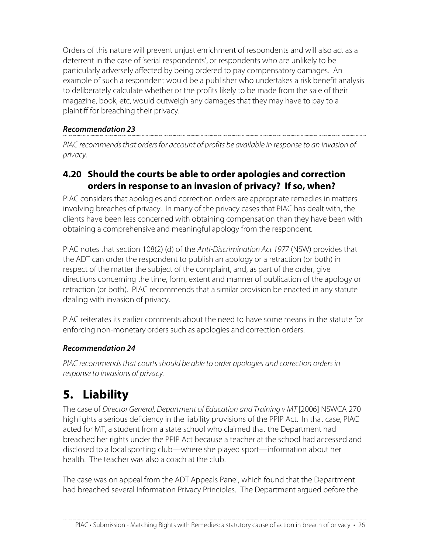Orders of this nature will prevent unjust enrichment of respondents and will also act as a deterrent in the case of 'serial respondents', or respondents who are unlikely to be particularly adversely affected by being ordered to pay compensatory damages. An example of such a respondent would be a publisher who undertakes a risk benefit analysis to deliberately calculate whether or the profits likely to be made from the sale of their magazine, book, etc, would outweigh any damages that they may have to pay to a plaintiff for breaching their privacy.

### **Recommendation 23**

PIAC recommends that orders for account of profits be available in response to an invasion of privacy.

# **4.20 Should the courts be able to order apologies and correction orders in response to an invasion of privacy? If so, when?**

PIAC considers that apologies and correction orders are appropriate remedies in matters involving breaches of privacy. In many of the privacy cases that PIAC has dealt with, the clients have been less concerned with obtaining compensation than they have been with obtaining a comprehensive and meaningful apology from the respondent.

PIAC notes that section 108(2) (d) of the Anti-Discrimination Act 1977 (NSW) provides that the ADT can order the respondent to publish an apology or a retraction (or both) in respect of the matter the subject of the complaint, and, as part of the order, give directions concerning the time, form, extent and manner of publication of the apology or retraction (or both). PIAC recommends that a similar provision be enacted in any statute dealing with invasion of privacy.

PIAC reiterates its earlier comments about the need to have some means in the statute for enforcing non-monetary orders such as apologies and correction orders.

# **Recommendation 24**

PIAC recommends that courts should be able to order apologies and correction orders in response to invasions of privacy.

# **5. Liability**

The case of Director General, Department of Education and Training v MT [2006] NSWCA 270 highlights a serious deficiency in the liability provisions of the PPIP Act. In that case, PIAC acted for MT, a student from a state school who claimed that the Department had breached her rights under the PPIP Act because a teacher at the school had accessed and disclosed to a local sporting club—where she played sport—information about her health. The teacher was also a coach at the club.

The case was on appeal from the ADT Appeals Panel, which found that the Department had breached several Information Privacy Principles. The Department argued before the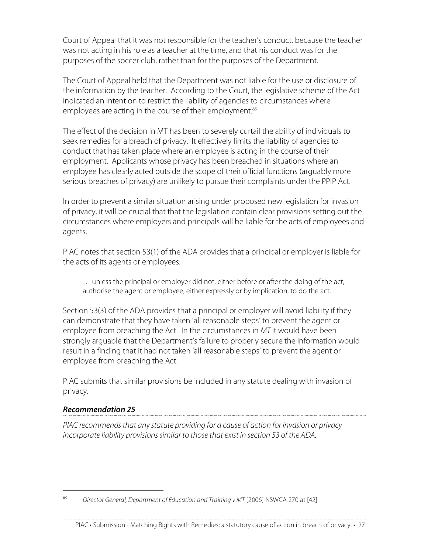Court of Appeal that it was not responsible for the teacher's conduct, because the teacher was not acting in his role as a teacher at the time, and that his conduct was for the purposes of the soccer club, rather than for the purposes of the Department.

The Court of Appeal held that the Department was not liable for the use or disclosure of the information by the teacher. According to the Court, the legislative scheme of the Act indicated an intention to restrict the liability of agencies to circumstances where employees are acting in the course of their employment. 85

The effect of the decision in MT has been to severely curtail the ability of individuals to seek remedies for a breach of privacy. It effectively limits the liability of agencies to conduct that has taken place where an employee is acting in the course of their employment. Applicants whose privacy has been breached in situations where an employee has clearly acted outside the scope of their official functions (arguably more serious breaches of privacy) are unlikely to pursue their complaints under the PPIP Act.

In order to prevent a similar situation arising under proposed new legislation for invasion of privacy, it will be crucial that that the legislation contain clear provisions setting out the circumstances where employers and principals will be liable for the acts of employees and agents.

PIAC notes that section 53(1) of the ADA provides that a principal or employer is liable for the acts of its agents or employees:

… unless the principal or employer did not, either before or after the doing of the act, authorise the agent or employee, either expressly or by implication, to do the act.

Section 53(3) of the ADA provides that a principal or employer will avoid liability if they can demonstrate that they have taken 'all reasonable steps' to prevent the agent or employee from breaching the Act. In the circumstances in MT it would have been strongly arguable that the Department's failure to properly secure the information would result in a finding that it had not taken 'all reasonable steps' to prevent the agent or employee from breaching the Act.

PIAC submits that similar provisions be included in any statute dealing with invasion of privacy.

#### **Recommendation 25**

PIAC recommends that any statute providing for a cause of action for invasion or privacy incorporate liability provisions similar to those that exist in section 53 of the ADA.

I 85 Director General, Department of Education and Training v MT [2006] NSWCA 270 at [42].

PIAC • Submission - Matching Rights with Remedies: a statutory cause of action in breach of privacy • 27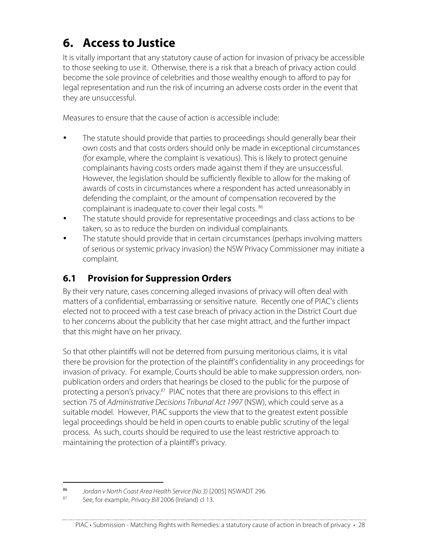# **6. Access to Justice**

It is vitally important that any statutory cause of action for invasion of privacy be accessible to those seeking to use it. Otherwise, there is a risk that a breach of privacy action could become the sole province of celebrities and those wealthy enough to afford to pay for legal representation and run the risk of incurring an adverse costs order in the event that they are unsuccessful.

Measures to ensure that the cause of action is accessible include:

- The statute should provide that parties to proceedings should generally bear their own costs and that costs orders should only be made in exceptional circumstances (for example, where the complaint is vexatious). This is likely to protect genuine complainants having costs orders made against them if they are unsuccessful. However, the legislation should be sufficiently flexible to allow for the making of awards of costs in circumstances where a respondent has acted unreasonably in defending the complaint, or the amount of compensation recovered by the complainant is inadequate to cover their legal costs. <sup>86</sup>
- The statute should provide for representative proceedings and class actions to be taken, so as to reduce the burden on individual complainants.
- The statute should provide that in certain circumstances (perhaps involving matters of serious or systemic privacy invasion) the NSW Privacy Commissioner may initiate a complaint.

# **6.1 Provision for Suppression Orders**

By their very nature, cases concerning alleged invasions of privacy will often deal with matters of a confidential, embarrassing or sensitive nature. Recently one of PIAC's clients elected not to proceed with a test case breach of privacy action in the District Court due to her concerns about the publicity that her case might attract, and the further impact that this might have on her privacy.

So that other plaintiffs will not be deterred from pursuing meritorious claims, it is vital there be provision for the protection of the plaintiff's confidentiality in any proceedings for invasion of privacy. For example, Courts should be able to make suppression orders, nonpublication orders and orders that hearings be closed to the public for the purpose of protecting a person's privacy.<sup>87</sup> PIAC notes that there are provisions to this effect in section 75 of Administrative Decisions Tribunal Act 1997 (NSW), which could serve as a suitable model. However, PIAC supports the view that to the greatest extent possible legal proceedings should be held in open courts to enable public scrutiny of the legal process. As such, courts should be required to use the least restrictive approach to maintaining the protection of a plaintiff's privacy.

I <sup>86</sup> Jordan v North Coast Area Health Service (No.3) [2005] NSWADT 296.

See, for example, Privacy Bill 2006 (Ireland) cl 13.

PIAC • Submission - Matching Rights with Remedies: a statutory cause of action in breach of privacy • 28